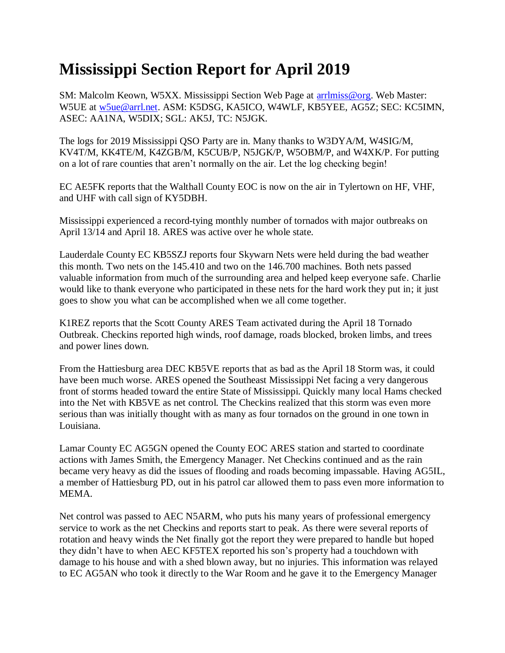## **Mississippi Section Report for April 2019**

SM: Malcolm Keown, W5XX. Mississippi Section Web Page at [arrlmiss@org.](mailto:arrlmiss@org) Web Master: W5UE at [w5ue@arrl.net.](mailto:w5ue@arrl.net) ASM: K5DSG, KA5ICO, W4WLF, KB5YEE, AG5Z; SEC: KC5IMN, ASEC: AA1NA, W5DIX; SGL: AK5J, TC: N5JGK.

The logs for 2019 Mississippi QSO Party are in. Many thanks to W3DYA/M, W4SIG/M, KV4T/M, KK4TE/M, K4ZGB/M, K5CUB/P, N5JGK/P, W5OBM/P, and W4XK/P. For putting on a lot of rare counties that aren't normally on the air. Let the log checking begin!

EC AE5FK reports that the Walthall County EOC is now on the air in Tylertown on HF, VHF, and UHF with call sign of KY5DBH.

Mississippi experienced a record-tying monthly number of tornados with major outbreaks on April 13/14 and April 18. ARES was active over he whole state.

Lauderdale County EC KB5SZJ reports four Skywarn Nets were held during the bad weather this month. Two nets on the 145.410 and two on the 146.700 machines. Both nets passed valuable information from much of the surrounding area and helped keep everyone safe. Charlie would like to thank everyone who participated in these nets for the hard work they put in; it just goes to show you what can be accomplished when we all come together.

K1REZ reports that the Scott County ARES Team activated during the April 18 Tornado Outbreak. Checkins reported high winds, roof damage, roads blocked, broken limbs, and trees and power lines down.

From the Hattiesburg area DEC KB5VE reports that as bad as the April 18 Storm was, it could have been much worse. ARES opened the Southeast Mississippi Net facing a very dangerous front of storms headed toward the entire State of Mississippi. Quickly many local Hams checked into the Net with KB5VE as net control. The Checkins realized that this storm was even more serious than was initially thought with as many as four tornados on the ground in one town in Louisiana.

Lamar County EC AG5GN opened the County EOC ARES station and started to coordinate actions with James Smith, the Emergency Manager. Net Checkins continued and as the rain became very heavy as did the issues of flooding and roads becoming impassable. Having AG5IL, a member of Hattiesburg PD, out in his patrol car allowed them to pass even more information to MEMA.

Net control was passed to AEC N5ARM, who puts his many years of professional emergency service to work as the net Checkins and reports start to peak. As there were several reports of rotation and heavy winds the Net finally got the report they were prepared to handle but hoped they didn't have to when AEC KF5TEX reported his son's property had a touchdown with damage to his house and with a shed blown away, but no injuries. This information was relayed to EC AG5AN who took it directly to the War Room and he gave it to the Emergency Manager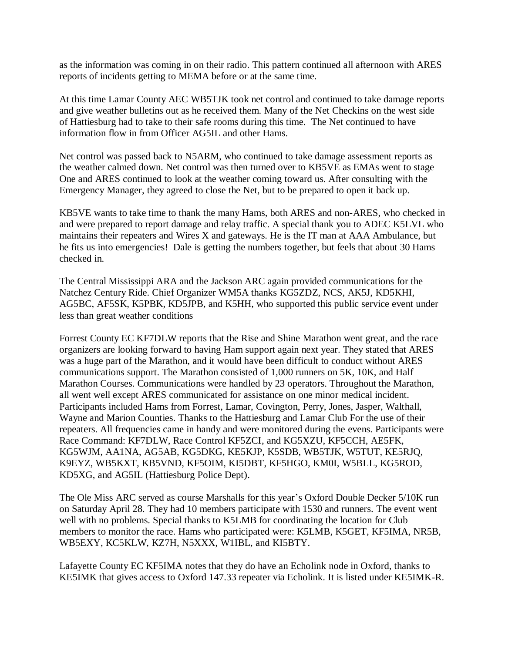as the information was coming in on their radio. This pattern continued all afternoon with ARES reports of incidents getting to MEMA before or at the same time.

At this time Lamar County AEC WB5TJK took net control and continued to take damage reports and give weather bulletins out as he received them. Many of the Net Checkins on the west side of Hattiesburg had to take to their safe rooms during this time. The Net continued to have information flow in from Officer AG5IL and other Hams.

Net control was passed back to N5ARM, who continued to take damage assessment reports as the weather calmed down. Net control was then turned over to KB5VE as EMAs went to stage One and ARES continued to look at the weather coming toward us. After consulting with the Emergency Manager, they agreed to close the Net, but to be prepared to open it back up.

KB5VE wants to take time to thank the many Hams, both ARES and non-ARES, who checked in and were prepared to report damage and relay traffic. A special thank you to ADEC K5LVL who maintains their repeaters and Wires X and gateways. He is the IT man at AAA Ambulance, but he fits us into emergencies! Dale is getting the numbers together, but feels that about 30 Hams checked in.

The Central Mississippi ARA and the Jackson ARC again provided communications for the Natchez Century Ride. Chief Organizer WM5A thanks KG5ZDZ, NCS, AK5J, KD5KHI, AG5BC, AF5SK, K5PBK, KD5JPB, and K5HH, who supported this public service event under less than great weather conditions

Forrest County EC KF7DLW reports that the Rise and Shine Marathon went great, and the race organizers are looking forward to having Ham support again next year. They stated that ARES was a huge part of the Marathon, and it would have been difficult to conduct without ARES communications support. The Marathon consisted of 1,000 runners on 5K, 10K, and Half Marathon Courses. Communications were handled by 23 operators. Throughout the Marathon, all went well except ARES communicated for assistance on one minor medical incident. Participants included Hams from Forrest, Lamar, Covington, Perry, Jones, Jasper, Walthall, Wayne and Marion Counties. Thanks to the Hattiesburg and Lamar Club For the use of their repeaters. All frequencies came in handy and were monitored during the evens. Participants were Race Command: KF7DLW, Race Control KF5ZCI, and KG5XZU, KF5CCH, AE5FK, KG5WJM, AA1NA, AG5AB, KG5DKG, KE5KJP, K5SDB, WB5TJK, W5TUT, KE5RJQ, K9EYZ, WB5KXT, KB5VND, KF5OIM, KI5DBT, KF5HGO, KM0I, W5BLL, KG5ROD, KD5XG, and AG5IL (Hattiesburg Police Dept).

The Ole Miss ARC served as course Marshalls for this year's Oxford Double Decker 5/10K run on Saturday April 28. They had 10 members participate with 1530 and runners. The event went well with no problems. Special thanks to K5LMB for coordinating the location for Club members to monitor the race. Hams who participated were: K5LMB, K5GET, KF5IMA, NR5B, WB5EXY, KC5KLW, KZ7H, N5XXX, W1IBL, and KI5BTY.

Lafayette County EC KF5IMA notes that they do have an Echolink node in Oxford, thanks to KE5IMK that gives access to Oxford 147.33 repeater via Echolink. It is listed under KE5IMK-R.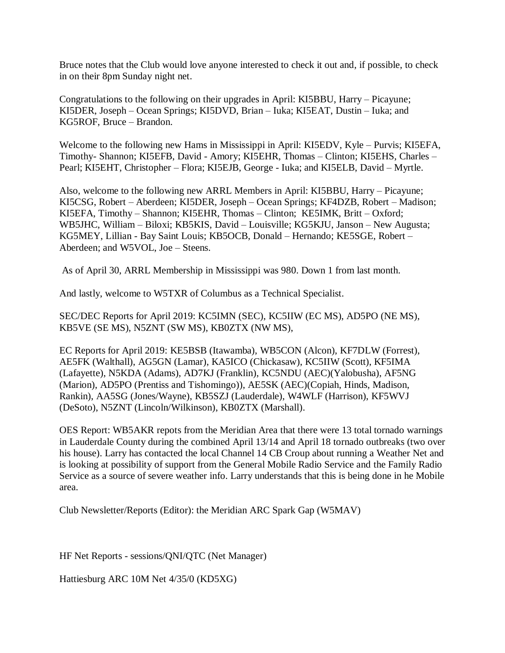Bruce notes that the Club would love anyone interested to check it out and, if possible, to check in on their 8pm Sunday night net.

Congratulations to the following on their upgrades in April: KI5BBU, Harry – Picayune; KI5DER, Joseph – Ocean Springs; KI5DVD, Brian – Iuka; KI5EAT, Dustin – Iuka; and KG5ROF, Bruce – Brandon.

Welcome to the following new Hams in Mississippi in April: KI5EDV, Kyle – Purvis; KI5EFA, Timothy- Shannon; KI5EFB, David - Amory; KI5EHR, Thomas – Clinton; KI5EHS, Charles – Pearl; KI5EHT, Christopher – Flora; KI5EJB, George - Iuka; and KI5ELB, David – Myrtle.

Also, welcome to the following new ARRL Members in April: KI5BBU, Harry – Picayune; KI5CSG, Robert – Aberdeen; KI5DER, Joseph – Ocean Springs; KF4DZB, Robert – Madison; KI5EFA, Timothy – Shannon; KI5EHR, Thomas – Clinton; KE5IMK, Britt – Oxford; WB5JHC, William – Biloxi; KB5KIS, David – Louisville; KG5KJU, Janson – New Augusta; KG5MEY, Lillian - Bay Saint Louis; KB5OCB, Donald – Hernando; KE5SGE, Robert – Aberdeen; and W5VOL, Joe – Steens.

As of April 30, ARRL Membership in Mississippi was 980. Down 1 from last month.

And lastly, welcome to W5TXR of Columbus as a Technical Specialist.

SEC/DEC Reports for April 2019: KC5IMN (SEC), KC5IIW (EC MS), AD5PO (NE MS), KB5VE (SE MS), N5ZNT (SW MS), KB0ZTX (NW MS),

EC Reports for April 2019: KE5BSB (Itawamba), WB5CON (Alcon), KF7DLW (Forrest), AE5FK (Walthall), AG5GN (Lamar), KA5ICO (Chickasaw), KC5IIW (Scott), KF5IMA (Lafayette), N5KDA (Adams), AD7KJ (Franklin), KC5NDU (AEC)(Yalobusha), AF5NG (Marion), AD5PO (Prentiss and Tishomingo)), AE5SK (AEC)(Copiah, Hinds, Madison, Rankin), AA5SG (Jones/Wayne), KB5SZJ (Lauderdale), W4WLF (Harrison), KF5WVJ (DeSoto), N5ZNT (Lincoln/Wilkinson), KB0ZTX (Marshall).

OES Report: WB5AKR repots from the Meridian Area that there were 13 total tornado warnings in Lauderdale County during the combined April 13/14 and April 18 tornado outbreaks (two over his house). Larry has contacted the local Channel 14 CB Croup about running a Weather Net and is looking at possibility of support from the General Mobile Radio Service and the Family Radio Service as a source of severe weather info. Larry understands that this is being done in he Mobile area.

Club Newsletter/Reports (Editor): the Meridian ARC Spark Gap (W5MAV)

HF Net Reports - sessions/QNI/QTC (Net Manager)

Hattiesburg ARC 10M Net 4/35/0 (KD5XG)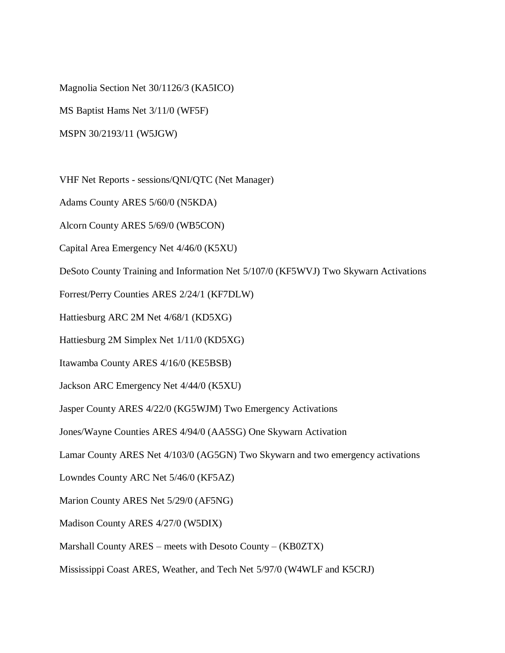Magnolia Section Net 30/1126/3 (KA5ICO)

MS Baptist Hams Net 3/11/0 (WF5F)

MSPN 30/2193/11 (W5JGW)

VHF Net Reports - sessions/QNI/QTC (Net Manager)

Adams County ARES 5/60/0 (N5KDA)

Alcorn County ARES 5/69/0 (WB5CON)

Capital Area Emergency Net 4/46/0 (K5XU)

DeSoto County Training and Information Net 5/107/0 (KF5WVJ) Two Skywarn Activations

Forrest/Perry Counties ARES 2/24/1 (KF7DLW)

Hattiesburg ARC 2M Net 4/68/1 (KD5XG)

Hattiesburg 2M Simplex Net 1/11/0 (KD5XG)

Itawamba County ARES 4/16/0 (KE5BSB)

Jackson ARC Emergency Net 4/44/0 (K5XU)

Jasper County ARES 4/22/0 (KG5WJM) Two Emergency Activations

Jones/Wayne Counties ARES 4/94/0 (AA5SG) One Skywarn Activation

Lamar County ARES Net 4/103/0 (AG5GN) Two Skywarn and two emergency activations

Lowndes County ARC Net 5/46/0 (KF5AZ)

Marion County ARES Net 5/29/0 (AF5NG)

Madison County ARES 4/27/0 (W5DIX)

Marshall County ARES – meets with Desoto County – (KB0ZTX)

Mississippi Coast ARES, Weather, and Tech Net 5/97/0 (W4WLF and K5CRJ)